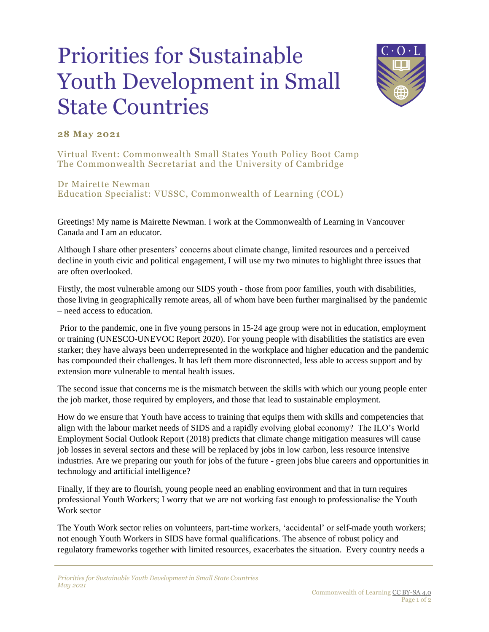## Priorities for Sustainable Youth Development in Small State Countries



## **28 May 2021**

Virtual Event: Commonwealth Small States Youth Policy Boot Camp The Commonwealth Secretariat and the University of Cambridge

Dr Mairette Newman Education Specialist: VUSSC, Commonwealth of Learning (COL)

Greetings! My name is Mairette Newman. I work at the Commonwealth of Learning in Vancouver Canada and I am an educator.

Although I share other presenters' concerns about climate change, limited resources and a perceived decline in youth civic and political engagement, I will use my two minutes to highlight three issues that are often overlooked.

Firstly, the most vulnerable among our SIDS youth - those from poor families, youth with disabilities, those living in geographically remote areas, all of whom have been further marginalised by the pandemic – need access to education.

Prior to the pandemic, one in five young persons in 15-24 age group were not in education, employment or training (UNESCO-UNEVOC Report 2020). For young people with disabilities the statistics are even starker; they have always been underrepresented in the workplace and higher education and the pandemic has compounded their challenges. It has left them more disconnected, less able to access support and by extension more vulnerable to mental health issues.

The second issue that concerns me is the mismatch between the skills with which our young people enter the job market, those required by employers, and those that lead to sustainable employment.

How do we ensure that Youth have access to training that equips them with skills and competencies that align with the labour market needs of SIDS and a rapidly evolving global economy? The ILO's World Employment Social Outlook Report (2018) predicts that climate change mitigation measures will cause job losses in several sectors and these will be replaced by jobs in low carbon, less resource intensive industries. Are we preparing our youth for jobs of the future - green jobs blue careers and opportunities in technology and artificial intelligence?

Finally, if they are to flourish, young people need an enabling environment and that in turn requires professional Youth Workers; I worry that we are not working fast enough to professionalise the Youth Work sector

The Youth Work sector relies on volunteers, part-time workers, 'accidental' or self-made youth workers; not enough Youth Workers in SIDS have formal qualifications. The absence of robust policy and regulatory frameworks together with limited resources, exacerbates the situation. Every country needs a